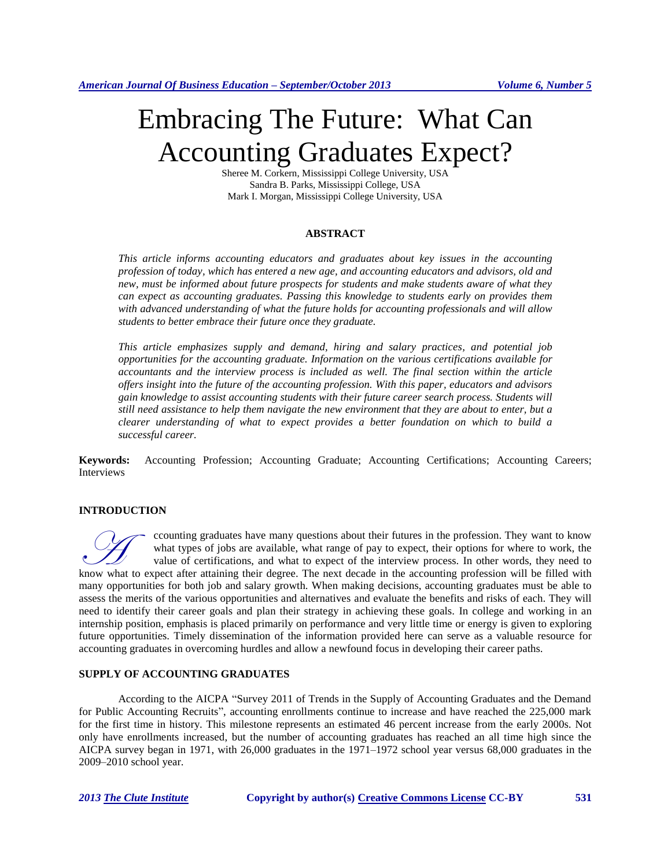# Embracing The Future: What Can Accounting Graduates Expect?

Sheree M. Corkern, Mississippi College University, USA Sandra B. Parks, Mississippi College, USA Mark I. Morgan, Mississippi College University, USA

## **ABSTRACT**

*This article informs accounting educators and graduates about key issues in the accounting profession of today, which has entered a new age, and accounting educators and advisors, old and new, must be informed about future prospects for students and make students aware of what they can expect as accounting graduates. Passing this knowledge to students early on provides them with advanced understanding of what the future holds for accounting professionals and will allow students to better embrace their future once they graduate.*

*This article emphasizes supply and demand, hiring and salary practices, and potential job opportunities for the accounting graduate. Information on the various certifications available for accountants and the interview process is included as well. The final section within the article offers insight into the future of the accounting profession. With this paper, educators and advisors gain knowledge to assist accounting students with their future career search process. Students will still need assistance to help them navigate the new environment that they are about to enter, but a clearer understanding of what to expect provides a better foundation on which to build a successful career.*

**Keywords:** Accounting Profession; Accounting Graduate; Accounting Certifications; Accounting Careers; Interviews

## **INTRODUCTION**

ccounting graduates have many questions about their futures in the profession. They want to know what types of jobs are available, what range of pay to expect, their options for where to work, the value of certifications, and what to expect of the interview process. In other words, they need to know what types of jobs are available, what range of pay to expect, their options for where to work, the value of certifications, and what to expect of the interview process. In other words, they need to know what to expec many opportunities for both job and salary growth. When making decisions, accounting graduates must be able to assess the merits of the various opportunities and alternatives and evaluate the benefits and risks of each. They will need to identify their career goals and plan their strategy in achieving these goals. In college and working in an internship position, emphasis is placed primarily on performance and very little time or energy is given to exploring future opportunities. Timely dissemination of the information provided here can serve as a valuable resource for accounting graduates in overcoming hurdles and allow a newfound focus in developing their career paths.

## **SUPPLY OF ACCOUNTING GRADUATES**

According to the AICPA "Survey 2011 of Trends in the Supply of Accounting Graduates and the Demand for Public Accounting Recruits", accounting enrollments continue to increase and have reached the 225,000 mark for the first time in history. This milestone represents an estimated 46 percent increase from the early 2000s. Not only have enrollments increased, but the number of accounting graduates has reached an all time high since the AICPA survey began in 1971, with 26,000 graduates in the 1971–1972 school year versus 68,000 graduates in the 2009–2010 school year.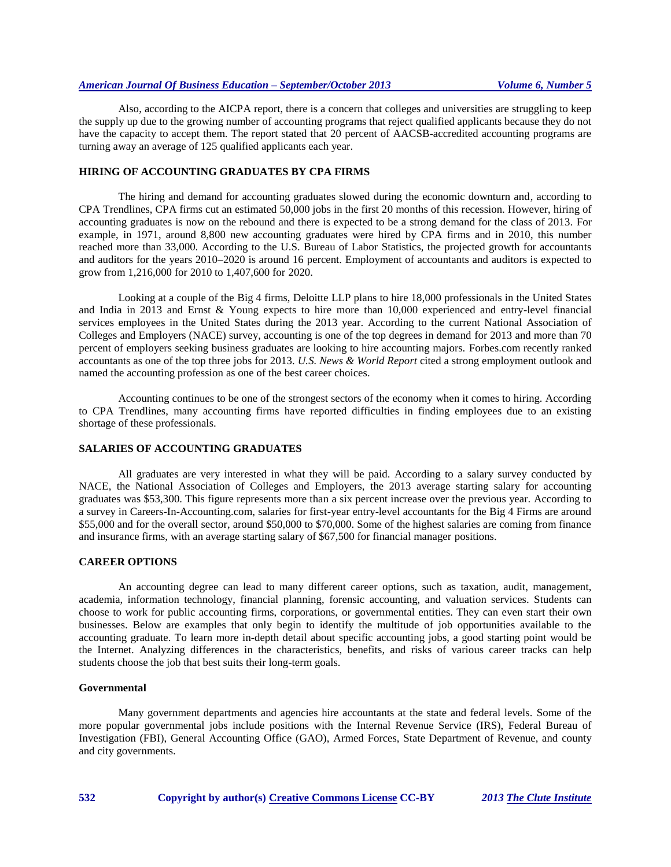Also, according to the AICPA report, there is a concern that colleges and universities are struggling to keep the supply up due to the growing number of accounting programs that reject qualified applicants because they do not have the capacity to accept them. The report stated that 20 percent of AACSB-accredited accounting programs are turning away an average of 125 qualified applicants each year.

# **HIRING OF ACCOUNTING GRADUATES BY CPA FIRMS**

The hiring and demand for accounting graduates slowed during the economic downturn and, according to CPA Trendlines, CPA firms cut an estimated 50,000 jobs in the first 20 months of this recession. However, hiring of accounting graduates is now on the rebound and there is expected to be a strong demand for the class of 2013. For example, in 1971, around 8,800 new accounting graduates were hired by CPA firms and in 2010, this number reached more than 33,000. According to the U.S. Bureau of Labor Statistics, the projected growth for accountants and auditors for the years 2010–2020 is around 16 percent. Employment of accountants and auditors is expected to grow from 1,216,000 for 2010 to 1,407,600 for 2020.

Looking at a couple of the Big 4 firms, Deloitte LLP plans to hire 18,000 professionals in the United States and India in 2013 and Ernst & Young expects to hire more than 10,000 experienced and entry-level financial services employees in the United States during the 2013 year. According to the current National Association of Colleges and Employers (NACE) survey, accounting is one of the top degrees in demand for 2013 and more than 70 percent of employers seeking business graduates are looking to hire accounting majors. Forbes.com recently ranked accountants as one of the top three jobs for 2013. *U.S. News & World Report* cited a strong employment outlook and named the accounting profession as one of the best career choices.

Accounting continues to be one of the strongest sectors of the economy when it comes to hiring. According to CPA Trendlines, many accounting firms have reported difficulties in finding employees due to an existing shortage of these professionals.

## **SALARIES OF ACCOUNTING GRADUATES**

All graduates are very interested in what they will be paid. According to a salary survey conducted by NACE, the National Association of Colleges and Employers, the 2013 average starting salary for accounting graduates was \$53,300. This figure represents more than a six percent increase over the previous year. According to a survey in Careers-In-Accounting.com, salaries for first-year entry-level accountants for the Big 4 Firms are around \$55,000 and for the overall sector, around \$50,000 to \$70,000. Some of the highest salaries are coming from finance and insurance firms, with an average starting salary of \$67,500 for financial manager positions.

## **CAREER OPTIONS**

An accounting degree can lead to many different career options, such as taxation, audit, management, academia, information technology, financial planning, forensic accounting, and valuation services. Students can choose to work for public accounting firms, corporations, or governmental entities. They can even start their own businesses. Below are examples that only begin to identify the multitude of job opportunities available to the accounting graduate. To learn more in-depth detail about specific accounting jobs, a good starting point would be the Internet. Analyzing differences in the characteristics, benefits, and risks of various career tracks can help students choose the job that best suits their long-term goals.

## **Governmental**

Many government departments and agencies hire accountants at the state and federal levels. Some of the more popular governmental jobs include positions with the Internal Revenue Service (IRS), Federal Bureau of Investigation (FBI), General Accounting Office (GAO), Armed Forces, State Department of Revenue, and county and city governments.

**532 Copyright by author(s) [Creative Commons License](http://creativecommons.org/licenses/by/3.0/) CC-BY** *2013 [The Clute Institute](http://www.cluteinstitute.com/)*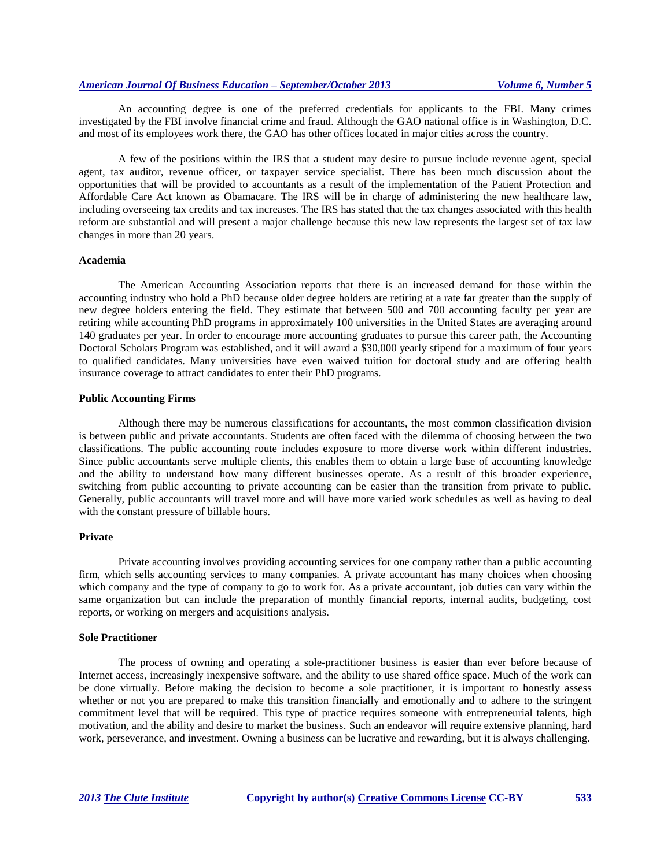An accounting degree is one of the preferred credentials for applicants to the FBI. Many crimes investigated by the FBI involve financial crime and fraud. Although the GAO national office is in Washington, D.C. and most of its employees work there, the GAO has other offices located in major cities across the country.

A few of the positions within the IRS that a student may desire to pursue include revenue agent, special agent, tax auditor, revenue officer, or taxpayer service specialist. There has been much discussion about the opportunities that will be provided to accountants as a result of the implementation of the Patient Protection and Affordable Care Act known as Obamacare. The IRS will be in charge of administering the new healthcare law, including overseeing tax credits and tax increases. The IRS has stated that the tax changes associated with this health reform are substantial and will present a major challenge because this new law represents the largest set of tax law changes in more than 20 years.

#### **Academia**

The American Accounting Association reports that there is an increased demand for those within the accounting industry who hold a PhD because older degree holders are retiring at a rate far greater than the supply of new degree holders entering the field. They estimate that between 500 and 700 accounting faculty per year are retiring while accounting PhD programs in approximately 100 universities in the United States are averaging around 140 graduates per year. In order to encourage more accounting graduates to pursue this career path, the Accounting Doctoral Scholars Program was established, and it will award a \$30,000 yearly stipend for a maximum of four years to qualified candidates. Many universities have even waived tuition for doctoral study and are offering health insurance coverage to attract candidates to enter their PhD programs.

#### **Public Accounting Firms**

Although there may be numerous classifications for accountants, the most common classification division is between public and private accountants. Students are often faced with the dilemma of choosing between the two classifications. The public accounting route includes exposure to more diverse work within different industries. Since public accountants serve multiple clients, this enables them to obtain a large base of accounting knowledge and the ability to understand how many different businesses operate. As a result of this broader experience, switching from public accounting to private accounting can be easier than the transition from private to public. Generally, public accountants will travel more and will have more varied work schedules as well as having to deal with the constant pressure of billable hours.

## **Private**

Private accounting involves providing accounting services for one company rather than a public accounting firm, which sells accounting services to many companies. A private accountant has many choices when choosing which company and the type of company to go to work for. As a private accountant, job duties can vary within the same organization but can include the preparation of monthly financial reports, internal audits, budgeting, cost reports, or working on mergers and acquisitions analysis.

## **Sole Practitioner**

The process of owning and operating a sole-practitioner business is easier than ever before because of Internet access, increasingly inexpensive software, and the ability to use shared office space. Much of the work can be done virtually. Before making the decision to become a sole practitioner, it is important to honestly assess whether or not you are prepared to make this transition financially and emotionally and to adhere to the stringent commitment level that will be required. This type of practice requires someone with entrepreneurial talents, high motivation, and the ability and desire to market the business. Such an endeavor will require extensive planning, hard work, perseverance, and investment. Owning a business can be lucrative and rewarding, but it is always challenging.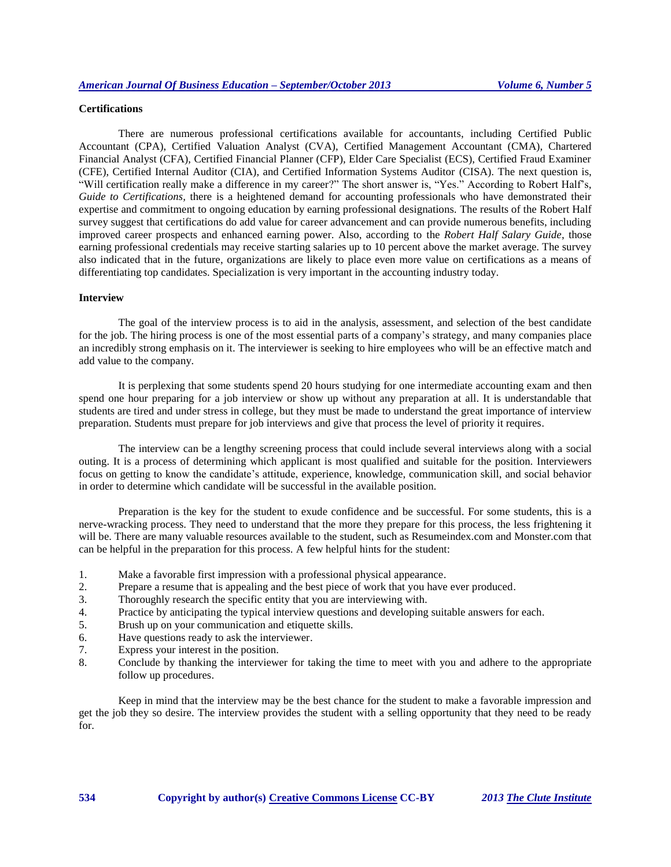# **Certifications**

There are numerous professional certifications available for accountants, including Certified Public Accountant (CPA), Certified Valuation Analyst (CVA), Certified Management Accountant (CMA), Chartered Financial Analyst (CFA), Certified Financial Planner (CFP), Elder Care Specialist (ECS), Certified Fraud Examiner (CFE), Certified Internal Auditor (CIA), and Certified Information Systems Auditor (CISA). The next question is, "Will certification really make a difference in my career?" The short answer is, "Yes." According to Robert Half's, *Guide to Certifications,* there is a heightened demand for accounting professionals who have demonstrated their expertise and commitment to ongoing education by earning professional designations. The results of the Robert Half survey suggest that certifications do add value for career advancement and can provide numerous benefits, including improved career prospects and enhanced earning power. Also, according to the *Robert Half Salary Guide*, those earning professional credentials may receive starting salaries up to 10 percent above the market average. The survey also indicated that in the future, organizations are likely to place even more value on certifications as a means of differentiating top candidates. Specialization is very important in the accounting industry today.

#### **Interview**

The goal of the interview process is to aid in the analysis, assessment, and selection of the best candidate for the job. The hiring process is one of the most essential parts of a company's strategy, and many companies place an incredibly strong emphasis on it. The interviewer is seeking to hire employees who will be an effective match and add value to the company.

It is perplexing that some students spend 20 hours studying for one intermediate accounting exam and then spend one hour preparing for a job interview or show up without any preparation at all. It is understandable that students are tired and under stress in college, but they must be made to understand the great importance of interview preparation. Students must prepare for job interviews and give that process the level of priority it requires.

The interview can be a lengthy screening process that could include several interviews along with a social outing. It is a process of determining which applicant is most qualified and suitable for the position. Interviewers focus on getting to know the candidate's attitude, experience, knowledge, communication skill, and social behavior in order to determine which candidate will be successful in the available position.

Preparation is the key for the student to exude confidence and be successful. For some students, this is a nerve-wracking process. They need to understand that the more they prepare for this process, the less frightening it will be. There are many valuable resources available to the student, such as [Resumeindex.com](http://www.resumeindex.com/interview-questions/) and [Monster.com](http://www.monster.com/) that can be helpful in the preparation for this process. A few helpful hints for the student:

- 1. Make a favorable first impression with a professional physical appearance.
- 2. Prepare a resume that is appealing and the best piece of work that you have ever produced.
- 3. Thoroughly research the specific entity that you are interviewing with.
- 4. Practice by anticipating the typical interview questions and developing suitable answers for each.
- 5. Brush up on your communication and etiquette skills.
- 6. Have questions ready to ask the interviewer.
- 7. Express your interest in the position.
- 8. Conclude by thanking the interviewer for taking the time to meet with you and adhere to the appropriate follow up procedures.

Keep in mind that the interview may be the best chance for the student to make a favorable impression and get the job they so desire. The interview provides the student with a selling opportunity that they need to be ready for.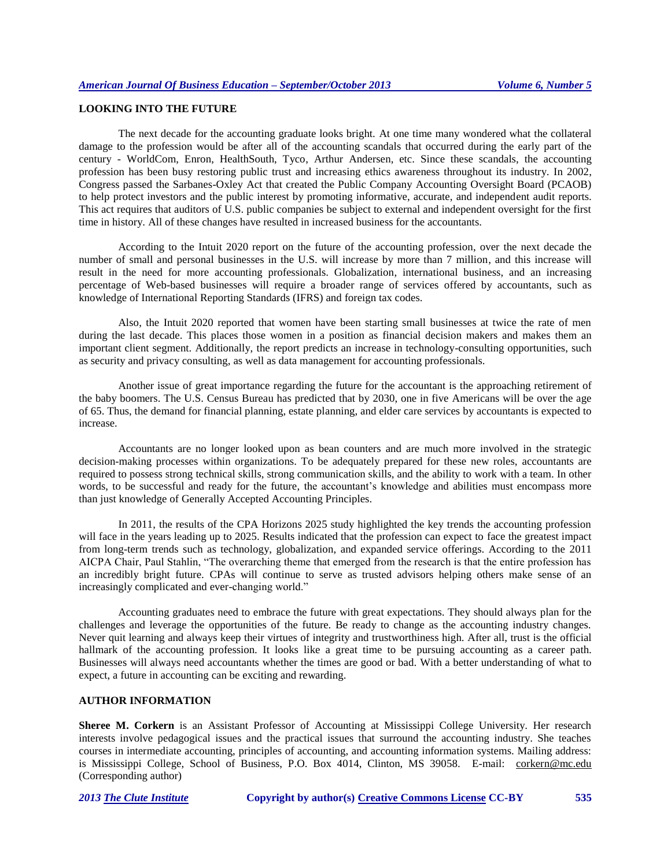## **LOOKING INTO THE FUTURE**

The next decade for the accounting graduate looks bright. At one time many wondered what the collateral damage to the profession would be after all of the accounting scandals that occurred during the early part of the century - WorldCom, Enron, HealthSouth, Tyco, Arthur Andersen, etc. Since these scandals, the accounting profession has been busy restoring public trust and increasing ethics awareness throughout its industry. In 2002, Congress passed the Sarbanes-Oxley Act that created the Public Company Accounting Oversight Board (PCAOB) to help protect investors and the public interest by promoting informative, accurate, and independent audit reports. This act requires that auditors of U.S. public companies be subject to external and independent oversight for the first time in history. All of these changes have resulted in increased business for the accountants.

According to the Intuit 2020 report on the future of the accounting profession, over the next decade the number of small and personal businesses in the U.S. will increase by more than 7 million, and this increase will result in the need for more accounting professionals. Globalization, international business, and an increasing percentage of Web-based businesses will require a broader range of services offered by accountants, such as knowledge of International Reporting Standards (IFRS) and foreign tax codes.

Also, the Intuit 2020 reported that women have been starting small businesses at twice the rate of men during the last decade. This places those women in a position as financial decision makers and makes them an important client segment. Additionally, the report predicts an increase in technology-consulting opportunities, such as security and privacy consulting, as well as data management for accounting professionals.

Another issue of great importance regarding the future for the accountant is the approaching retirement of the baby boomers. The U.S. Census Bureau has predicted that by 2030, one in five Americans will be over the age of 65. Thus, the demand for financial planning, estate planning, and elder care services by accountants is expected to increase.

Accountants are no longer looked upon as bean counters and are much more involved in the strategic decision-making processes within organizations. To be adequately prepared for these new roles, accountants are required to possess strong technical skills, strong communication skills, and the ability to work with a team. In other words, to be successful and ready for the future, the accountant's knowledge and abilities must encompass more than just knowledge of Generally Accepted Accounting Principles.

In 2011, the results of the CPA Horizons 2025 study highlighted the key trends the accounting profession will face in the years leading up to 2025. Results indicated that the profession can expect to face the greatest impact from long-term trends such as technology, globalization, and expanded service offerings. According to the 2011 AICPA Chair, Paul Stahlin, "The overarching theme that emerged from the research is that the entire profession has an incredibly bright future. CPAs will continue to serve as trusted advisors helping others make sense of an increasingly complicated and ever-changing world."

Accounting graduates need to embrace the future with great expectations. They should always plan for the challenges and leverage the opportunities of the future. Be ready to change as the accounting industry changes. Never quit learning and always keep their virtues of integrity and trustworthiness high. After all, trust is the official hallmark of the accounting profession. It looks like a great time to be pursuing accounting as a career path. Businesses will always need accountants whether the times are good or bad. With a better understanding of what to expect, a future in accounting can be exciting and rewarding.

## **AUTHOR INFORMATION**

**Sheree M. Corkern** is an Assistant Professor of Accounting at Mississippi College University. Her research interests involve pedagogical issues and the practical issues that surround the accounting industry. She teaches courses in intermediate accounting, principles of accounting, and accounting information systems. Mailing address: is Mississippi College, School of Business, P.O. Box 4014, Clinton, MS 39058. E-mail: corkern@mc.edu (Corresponding author)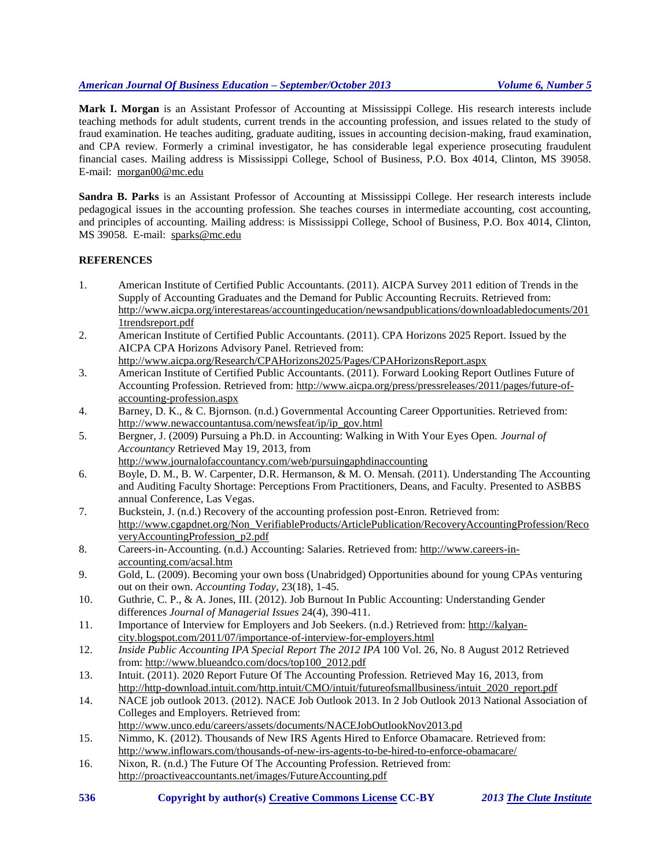**Mark I. Morgan** is an Assistant Professor of Accounting at Mississippi College. His research interests include teaching methods for adult students, current trends in the accounting profession, and issues related to the study of fraud examination. He teaches auditing, graduate auditing, issues in accounting decision-making, fraud examination, and CPA review. Formerly a criminal investigator, he has considerable legal experience prosecuting fraudulent financial cases. Mailing address is Mississippi College, School of Business, P.O. Box 4014, Clinton, MS 39058. E-mail: morgan00@mc.edu

**Sandra B. Parks** is an Assistant Professor of Accounting at Mississippi College. Her research interests include pedagogical issues in the accounting profession. She teaches courses in intermediate accounting, cost accounting, and principles of accounting. Mailing address: is Mississippi College, School of Business, P.O. Box 4014, Clinton, MS 39058. E-mail: sparks@mc.edu

# **REFERENCES**

- 1. American Institute of Certified Public Accountants. (2011). AICPA Survey 2011 edition of Trends in the Supply of Accounting Graduates and the Demand for Public Accounting Recruits. Retrieved from: http://www.aicpa.org/interestareas/accountingeducation/newsandpublications/downloadabledocuments/201 1trendsreport.pdf
- 2. American Institute of Certified Public Accountants. (2011). CPA Horizons 2025 Report. Issued by the AICPA CPA Horizons Advisory Panel. Retrieved from:
- <http://www.aicpa.org/Research/CPAHorizons2025/Pages/CPAHorizonsReport.aspx> 3. American Institute of Certified Public Accountants. (2011). Forward Looking Report Outlines Future of Accounting Profession. Retrieved from: http://www.aicpa.org/press/pressreleases/2011/pages/future-ofaccounting-profession.aspx
- 4. Barney, D. K., & C. Bjornson. (n.d.) Governmental Accounting Career Opportunities. Retrieved from: [http://www.newaccountantusa.com/newsfeat/ip/ip\\_gov.html](http://www.newaccountantusa.com/newsfeat/ip/ip_gov.html)
- 5. Bergner, J. (2009) Pursuing a Ph.D. in Accounting: Walking in With Your Eyes Open. *Journal of Accountancy* Retrieved May 19, 2013, from <http://www.journalofaccountancy.com/web/pursuingaphdinaccounting>
- 6. Boyle, D. M., B. W. Carpenter, D.R. Hermanson, & M. O. Mensah. (2011). Understanding The Accounting and Auditing Faculty Shortage: Perceptions From Practitioners, Deans, and Faculty. Presented to ASBBS annual Conference, Las Vegas.
- 7. Buckstein, J. (n.d.) Recovery of the accounting profession post-Enron. Retrieved from: [http://www.cgapdnet.org/Non\\_VerifiableProducts/ArticlePublication/RecoveryAccountingProfession/Reco](http://www.cga-pdnet.org/Non_VerifiableProducts/ArticlePublication/RecoveryAccountingProfession/RecoveryAccountingProfession_p2.pdf) [veryAccountingProfession\\_p2.pdf](http://www.cga-pdnet.org/Non_VerifiableProducts/ArticlePublication/RecoveryAccountingProfession/RecoveryAccountingProfession_p2.pdf)
- 8. Careers-in-Accounting. (n.d.) Accounting: Salaries. Retrieved from: [http://www.careers-in](http://www.careers-in-accounting.com/acsal.htm)[accounting.com/acsal.htm](http://www.careers-in-accounting.com/acsal.htm)
- 9. Gold, L. (2009). Becoming your own boss (Unabridged) Opportunities abound for young CPAs venturing out on their own. *Accounting Today*, 23(18), 1-45.
- 10. Guthrie, C. P., & A. Jones, III. (2012). Job Burnout In Public Accounting: Understanding Gender differences *Journal of Managerial Issues* 24(4), 390-411.
- 11. Importance of Interview for Employers and Job Seekers. (n.d.) Retrieved from: [http://kalyan](http://kalyan-city.blogspot.com/2011/07/importance-of-interview-for-employers.html)[city.blogspot.com/2011/07/importance-of-interview-for-employers.html](http://kalyan-city.blogspot.com/2011/07/importance-of-interview-for-employers.html)
- 12. *Inside Public Accounting IPA Special Report The 2012 IPA* 100 Vol. 26, No. 8 August 2012 Retrieved from[: http://www.blueandco.com/docs/top100\\_2012.pdf](http://www.blueandco.com/docs/top100_2012.pdf)
- 13. Intuit. (2011). 2020 Report Future Of The Accounting Profession. Retrieved May 16, 2013, from http://http-download.intuit.com/http.intuit/CMO/intuit/futureofsmallbusiness/intuit\_2020\_report.pdf
- 14. NACE job outlook 2013. (2012). NACE Job Outlook 2013. In 2 Job Outlook 2013 National Association of Colleges and Employers. Retrieved from:
- <http://www.unco.edu/careers/assets/documents/NACEJobOutlookNov2013.pd>
- 15. Nimmo, K. (2012). Thousands of New IRS Agents Hired to Enforce Obamacare. Retrieved from: <http://www.inflowars.com/thousands-of-new-irs-agents-to-be-hired-to-enforce-obamacare/>
- 16. Nixon, R. (n.d.) The Future Of The Accounting Profession. Retrieved from: http://proactiveaccountants.net/images/FutureAccounting.pdf
- **536 Copyright by author(s) [Creative Commons License](http://creativecommons.org/licenses/by/3.0/) CC-BY** *2013 [The Clute Institute](http://www.cluteinstitute.com/)*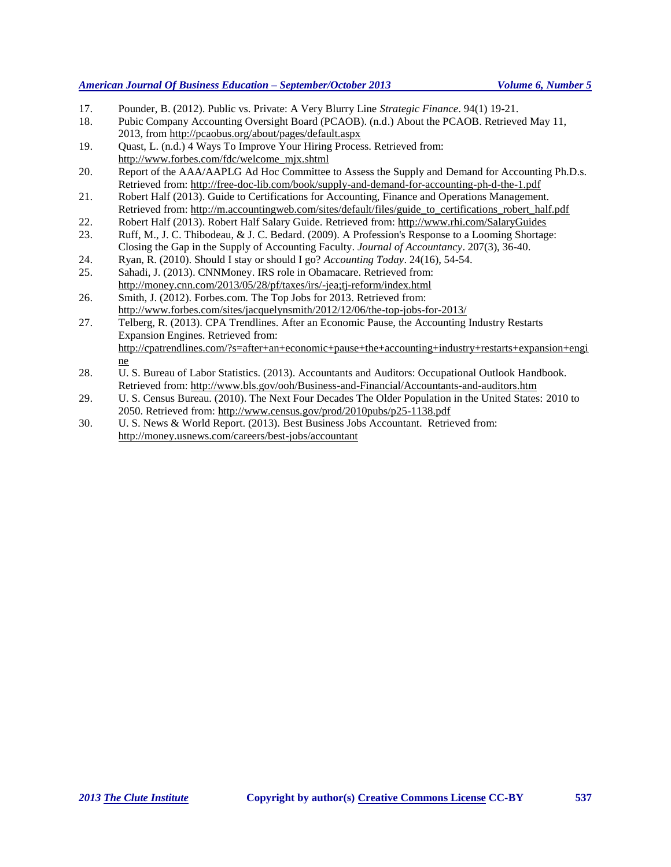17. Pounder, B. (2012). Public vs. Private: A Very Blurry Line *Strategic Finance*. 94(1) 19-21.

18. Pubic Company Accounting Oversight Board (PCAOB). (n.d.) About the PCAOB. Retrieved May 11, 2013, from<http://pcaobus.org/about/pages/default.aspx>

- 19. Quast, L. (n.d.) 4 Ways To Improve Your Hiring Process. Retrieved from: [http://www.forbes.com/fdc/welcome\\_mjx.shtml](http://www.forbes.com/fdc/welcome_mjx.shtml)
- 20. Report of the AAA/AAPLG Ad Hoc Committee to Assess the Supply and Demand for Accounting Ph.D.s. Retrieved from: http://free-doc-lib.com/book/supply-and-demand-for-accounting-ph-d-the-1.pdf
- 21. Robert Half (2013). Guide to Certifications for Accounting, Finance and Operations Management. Retrieved from: [http://m.accountingweb.com/sites/default/files/guide\\_to\\_certifications\\_robert\\_half.pdf](http://m.accountingweb.com/sites/default/files/guide_to_certifications_robert_half.pdf)
- 22. Robert Half (2013). Robert Half Salary Guide. Retrieved from: http://www.rhi.com/SalaryGuides
- 23. Ruff, M., J. C. Thibodeau, & J. C. Bedard. (2009)[. A Profession's](http://web.ebscohost.com.ezproxy.mc.edu:2048/ehost/viewarticle?data=dGJyMPPp44rp2%2fdV0%2bnjisfk5Ie44uOE3%2bTiRuvX54as2%2baH8eq%2bTa2nt0ewpq9LnqeuUrGuuEmuls5lpOrweezp33vy3%2b2G59q7SbGms0yvrbM%2b6tfsf7vb7D7i2Lt68t6kjN%2fdu1nMnN%2bGu6m0ULKqtk23nOSH8OPfjLvc84Tq6uOQ8gAA&hid=11) Response to a Looming Shortage: [Closing the Gap in the Supply of Accounting Faculty.](http://web.ebscohost.com.ezproxy.mc.edu:2048/ehost/viewarticle?data=dGJyMPPp44rp2%2fdV0%2bnjisfk5Ie44uOE3%2bTiRuvX54as2%2baH8eq%2bTa2nt0ewpq9LnqeuUrGuuEmuls5lpOrweezp33vy3%2b2G59q7SbGms0yvrbM%2b6tfsf7vb7D7i2Lt68t6kjN%2fdu1nMnN%2bGu6m0ULKqtk23nOSH8OPfjLvc84Tq6uOQ8gAA&hid=11) *Journal of Accountancy*. 207(3), 36-40.
- 24. Ryan, R. (2010). Should I stay or should I go? *Accounting Today*. 24(16), 54-54.
- 25. Sahadi, J. (2013). CNNMoney. IRS role in Obamacare. Retrieved from: <http://money.cnn.com/2013/05/28/pf/taxes/irs/-jea;tj-reform/index.html>
- 26. Smith, J. (2012). Forbes.com. The Top Jobs for 2013. Retrieved from: http://www.forbes.com/sites/jacquelynsmith/2012/12/06/the-top-jobs-for-2013/
- 27. Telberg, R. (2013). CPA Trendlines. After an Economic Pause, the Accounting Industry Restarts Expansion Engines. Retrieved from: [http://cpatrendlines.com/?s=after+an+economic+pause+the+accounting+industry+restarts+expansion+engi](http://cpatrendlines.com/?s=after+an+economic+pause+the+accounting+industry+restarts+expansion+engine) [ne](http://cpatrendlines.com/?s=after+an+economic+pause+the+accounting+industry+restarts+expansion+engine)
- 28. U. S. Bureau of Labor Statistics. (2013). Accountants and Auditors: Occupational Outlook Handbook. Retrieved from: <http://www.bls.gov/ooh/Business-and-Financial/Accountants-and-auditors.htm>
- 29. U. S. Census Bureau. (2010). The Next Four Decades The Older Population in the United States: 2010 to 2050. Retrieved from: <http://www.census.gov/prod/2010pubs/p25-1138.pdf>
- 30. U. S. News & World Report. (2013). Best Business Jobs Accountant. Retrieved from: <http://money.usnews.com/careers/best-jobs/accountant>